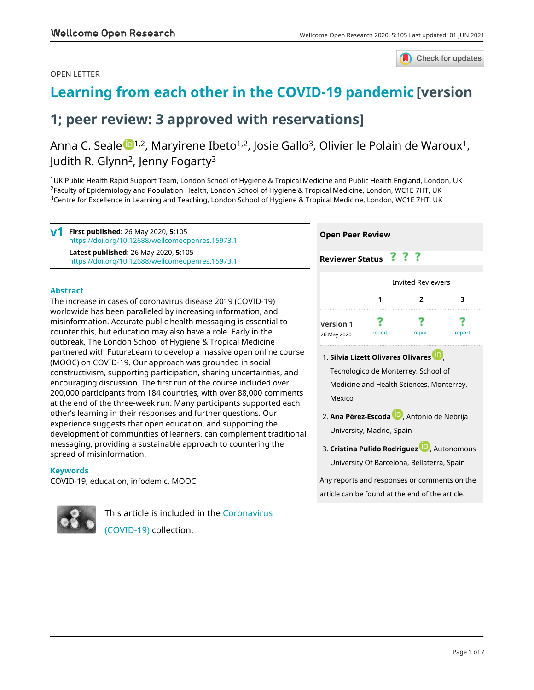### OPEN LETTER



# **[Learning from each other in the COVID-19 pandemic](https://wellcomeopenresearch.org/articles/5-105/v1) [version**

# **1; peer review: 3 approved with reservations]**

# Anna C. Seale <sup>[1](https://orcid.org/0000-0002-0129-3146),2</sup>, Maryirene Ibeto<sup>1,2</sup>, Josie Gallo<sup>3</sup>, Olivier le Polain de Waroux<sup>1</sup>, Judith R. Glynn<sup>2</sup>, Jenny Fogarty<sup>3</sup>

<sup>1</sup>UK Public Health Rapid Support Team, London School of Hygiene & Tropical Medicine and Public Health England, London, UK <sup>2</sup>Faculty of Epidemiology and Population Health, London School of Hygiene & Tropical Medicine, London, WC1E 7HT, UK <sup>3</sup>Centre for Excellence in Learning and Teaching, London School of Hygiene & Tropical Medicine, London, WC1E 7HT, UK

**First published:** 26 May 2020, **5**:105 <https://doi.org/10.12688/wellcomeopenres.15973.1> **Latest published:** 26 May 2020, **5**:105 <https://doi.org/10.12688/wellcomeopenres.15973.1> **v1**

#### **Abstract**

The increase in cases of coronavirus disease 2019 (COVID-19) worldwide has been paralleled by increasing information, and misinformation. Accurate public health messaging is essential to counter this, but education may also have a role. Early in the outbreak, The London School of Hygiene & Tropical Medicine partnered with FutureLearn to develop a massive open online course (MOOC) on COVID-19. Our approach was grounded in social constructivism, supporting participation, sharing uncertainties, and encouraging discussion. The first run of the course included over 200,000 participants from 184 countries, with over 88,000 comments at the end of the three-week run. Many participants supported each other's learning in their responses and further questions. Our experience suggests that open education, and supporting the development of communities of learners, can complement traditional messaging, providing a sustainable approach to countering the spread of misinformation.

#### **Keywords**

COVID-19, education, infodemic, MOOC

This article is included in the [Coronavirus](https://wellcomeopenresearch.org/collections/covid19) [\(COVID-19\)](https://wellcomeopenresearch.org/collections/covid19) collection.



**Reviewer Status ????** 

|                          | <b>Invited Reviewers</b> |        |        |
|--------------------------|--------------------------|--------|--------|
|                          |                          | 2      | 3      |
| version 1<br>26 May 2020 | report                   | report | report |

**Silvia Lizett Olivares Olivares** , 1. Tecnologico de Monterrey, School of Medicine and Health Sciences, Monterrey, Mexico

**Cristina Pulido Rodriguez** , Autonomous 3. University Of Barcelona, Bellaterra, Spain

Any reports and responses or comments on the article can be found at the end of the article.

**Ana Pérez-Escod[a](https://orcid.org/0000-0002-4895-0043)** , Antonio de Nebrija 2. University, Madrid, Spain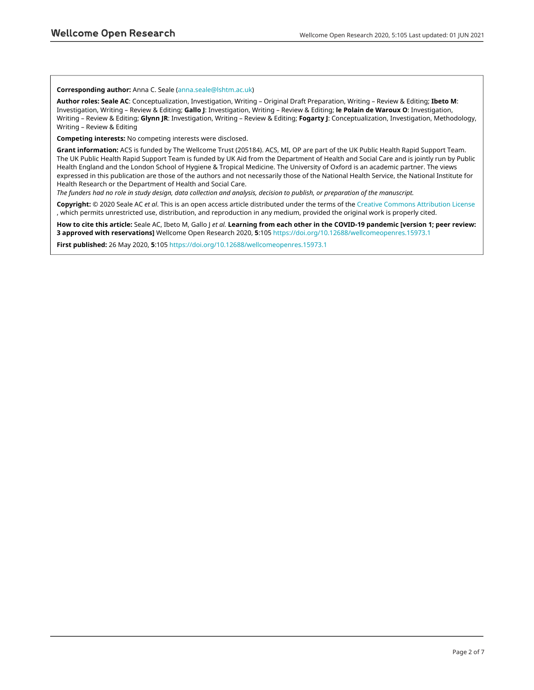#### **Corresponding author:** Anna C. Seale [\(anna.seale@lshtm.ac.uk](mailto:anna.seale@lshtm.ac.uk))

**Author roles: Seale AC**: Conceptualization, Investigation, Writing – Original Draft Preparation, Writing – Review & Editing; **Ibeto M**: Investigation, Writing – Review & Editing; **Gallo J**: Investigation, Writing – Review & Editing; **le Polain de Waroux O**: Investigation, Writing – Review & Editing; **Glynn JR**: Investigation, Writing – Review & Editing; **Fogarty J**: Conceptualization, Investigation, Methodology, Writing – Review & Editing

**Competing interests:** No competing interests were disclosed.

**Grant information:** ACS is funded by The Wellcome Trust (205184). ACS, MI, OP are part of the UK Public Health Rapid Support Team. The UK Public Health Rapid Support Team is funded by UK Aid from the Department of Health and Social Care and is jointly run by Public Health England and the London School of Hygiene & Tropical Medicine. The University of Oxford is an academic partner. The views expressed in this publication are those of the authors and not necessarily those of the National Health Service, the National Institute for Health Research or the Department of Health and Social Care.

*The funders had no role in study design, data collection and analysis, decision to publish, or preparation of the manuscript.*

**Copyright:** © 2020 Seale AC *et al*. This is an open access article distributed under the terms of the [Creative Commons Attribution License](http://creativecommons.org/licenses/by/4.0/) , which permits unrestricted use, distribution, and reproduction in any medium, provided the original work is properly cited.

**How to cite this article:** Seale AC, Ibeto M, Gallo J *et al.* **Learning from each other in the COVID-19 pandemic [version 1; peer review: 3 approved with reservations]** Wellcome Open Research 2020, **5**:105<https://doi.org/10.12688/wellcomeopenres.15973.1>

**First published:** 26 May 2020, **5**:105<https://doi.org/10.12688/wellcomeopenres.15973.1>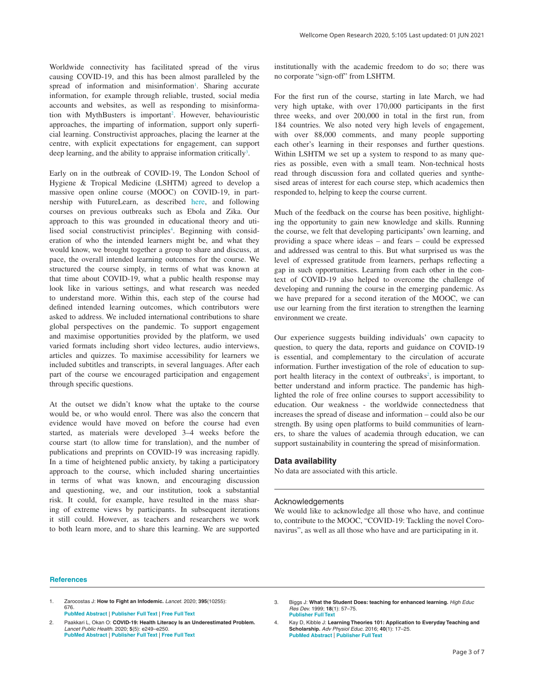Worldwide connectivity has facilitated spread of the virus causing COVID-19, and this has been almost paralleled by the spread of information and misinformation<sup>1</sup>. Sharing accurate information, for example through reliable, trusted, social media accounts and websites, as well as responding to misinformation with MythBusters is important<sup>2</sup>. However, behaviouristic approaches, the imparting of information, support only superficial learning. Constructivist approaches, placing the learner at the centre, with explicit expectations for engagement, can support deep learning, and the ability to appraise information critically<sup>3</sup>.

Early on in the outbreak of COVID-19, The London School of Hygiene & Tropical Medicine (LSHTM) agreed to develop a massive open online course (MOOC) on COVID-19, in partnership with FutureLearn, as described [here,](https://www.futurelearn.com/info/research-insights/rapid-response-from-zero-to-140000-learners-in-just-eight-weeks) and following courses on previous outbreaks such as Ebola and Zika. Our approach to this was grounded in educational theory and utilised social constructivist principles<sup>4</sup>. Beginning with consideration of who the intended learners might be, and what they would know, we brought together a group to share and discuss, at pace, the overall intended learning outcomes for the course. We structured the course simply, in terms of what was known at that time about COVID-19, what a public health response may look like in various settings, and what research was needed to understand more. Within this, each step of the course had defined intended learning outcomes, which contributors were asked to address. We included international contributions to share global perspectives on the pandemic. To support engagement and maximise opportunities provided by the platform, we used varied formats including short video lectures, audio interviews, articles and quizzes. To maximise accessibility for learners we included subtitles and transcripts, in several languages. After each part of the course we encouraged participation and engagement through specific questions.

At the outset we didn't know what the uptake to the course would be, or who would enrol. There was also the concern that evidence would have moved on before the course had even started, as materials were developed 3–4 weeks before the course start (to allow time for translation), and the number of publications and preprints on COVID-19 was increasing rapidly. In a time of heightened public anxiety, by taking a participatory approach to the course, which included sharing uncertainties in terms of what was known, and encouraging discussion and questioning, we, and our institution, took a substantial risk. It could, for example, have resulted in the mass sharing of extreme views by participants. In subsequent iterations it still could. However, as teachers and researchers we work to both learn more, and to share this learning. We are supported

institutionally with the academic freedom to do so; there was no corporate "sign-off" from LSHTM.

For the first run of the course, starting in late March, we had very high uptake, with over 170,000 participants in the first three weeks, and over 200,000 in total in the first run, from 184 countries. We also noted very high levels of engagement, with over 88,000 comments, and many people supporting each other's learning in their responses and further questions. Within LSHTM we set up a system to respond to as many queries as possible, even with a small team. Non-technical hosts read through discussion fora and collated queries and synthesised areas of interest for each course step, which academics then responded to, helping to keep the course current.

Much of the feedback on the course has been positive, highlighting the opportunity to gain new knowledge and skills. Running the course, we felt that developing participants' own learning, and providing a space where ideas – and fears – could be expressed and addressed was central to this. But what surprised us was the level of expressed gratitude from learners, perhaps reflecting a gap in such opportunities. Learning from each other in the context of COVID-19 also helped to overcome the challenge of developing and running the course in the emerging pandemic. As we have prepared for a second iteration of the MOOC, we can use our learning from the first iteration to strengthen the learning environment we create.

Our experience suggests building individuals' own capacity to question, to query the data, reports and guidance on COVID-19 is essential, and complementary to the circulation of accurate information. Further investigation of the role of education to support health literacy in the context of outbreaks<sup>2</sup>, is important, to better understand and inform practice. The pandemic has highlighted the role of free online courses to support accessibility to education. Our weakness - the worldwide connectedness that increases the spread of disease and information – could also be our strength. By using open platforms to build communities of learners, to share the values of academia through education, we can support sustainability in countering the spread of misinformation.

#### **Data availability**

No data are associated with this article.

#### Acknowledgements

We would like to acknowledge all those who have, and continue to, contribute to the MOOC, "COVID-19: Tackling the novel Coronavirus", as well as all those who have and are participating in it.

#### **References**

1. Zarocostas J: **How to Fight an Infodemic.** *Lancet.* 2020; **395**(10255): 676. **[PubMed Abstract](http://www.ncbi.nlm.nih.gov/pubmed/32113495)** | **[Publisher Full Text](http://dx.doi.org/10.1016/S0140-6736(20)30461-X)** | **[Free Full Text](http://www.ncbi.nlm.nih.gov/pmc/articles/7133615)**

2. Paakkari L, Okan O: **COVID-19: Health Literacy Is an Underestimated Problem.** *Lancet Public Health.* 2020; **5**(5): e249–e250. **[PubMed Abstract](http://www.ncbi.nlm.nih.gov/pubmed/32302535)** | **[Publisher Full Text](http://dx.doi.org/10.1016/S2468-2667(20)30086-4)** | **[Free Full Text](http://www.ncbi.nlm.nih.gov/pmc/articles/7156243)**

3. Biggs J: **What the Student Does: teaching for enhanced learning.** *High Educ Res Dev.* 1999; **18**(1): 57–75. **[Publisher Full Text](http://dx.doi.org/10.1080/0729436990180105)**

4. Kay D, Kibble J: **Learning Theories 101: Application to Everyday Teaching and Scholarship.** *Adv Physiol Educ.* 2016; **40**(1): 17–25. **[PubMed Abstract](http://www.ncbi.nlm.nih.gov/pubmed/26847253)** | **[Publisher Full Text](http://dx.doi.org/10.1152/advan.00132.2015)**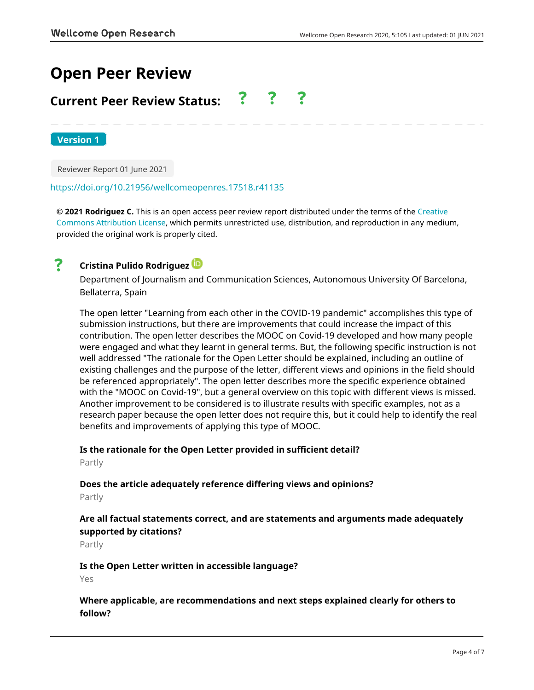# **Open Peer Review**

# **Current Peer Review Status:**

**Version 1**

Reviewer Report 01 June 2021

### <https://doi.org/10.21956/wellcomeopenres.17518.r41135>

**© 2021 Rodriguez C.** This is an open access peer review report distributed under the terms of the [Creative](https://creativecommons.org/licenses/by/4.0/) [Commons Attribution License](https://creativecommons.org/licenses/by/4.0/), which permits unrestricted use, distribution, and reproduction in any medium, provided the original work is properly cited.

# ?

# **Cristina Pulido Rodriguez**

Department of Journalism and Communication Sciences, Autonomous University Of Barcelona, Bellaterra, Spain

The open letter "Learning from each other in the COVID-19 pandemic" accomplishes this type of submission instructions, but there are improvements that could increase the impact of this contribution. The open letter describes the MOOC on Covid-19 developed and how many people were engaged and what they learnt in general terms. But, the following specific instruction is not well addressed "The rationale for the Open Letter should be explained, including an outline of existing challenges and the purpose of the letter, different views and opinions in the field should be referenced appropriately". The open letter describes more the specific experience obtained with the "MOOC on Covid-19", but a general overview on this topic with different views is missed. Another improvement to be considered is to illustrate results with specific examples, not as a research paper because the open letter does not require this, but it could help to identify the real benefits and improvements of applying this type of MOOC.

## **Is the rationale for the Open Letter provided in sufficient detail?**

Partly

# **Does the article adequately reference differing views and opinions?**

Partly

# **Are all factual statements correct, and are statements and arguments made adequately supported by citations?**

Partly

## **Is the Open Letter written in accessible language?**

Yes

# **Where applicable, are recommendations and next steps explained clearly for others to follow?**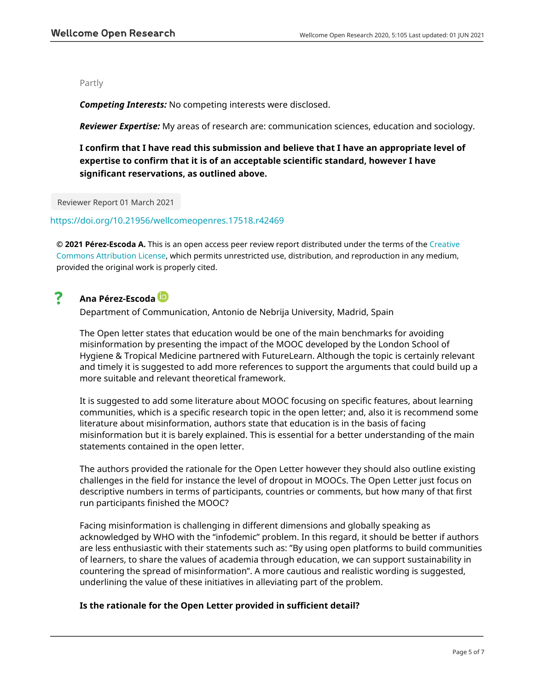### Partly

*Competing Interests:* No competing interests were disclosed.

*Reviewer Expertise:* My areas of research are: communication sciences, education and sociology.

**I confirm that I have read this submission and believe that I have an appropriate level of expertise to confirm that it is of an acceptable scientific standard, however I have significant reservations, as outlined above.**

Reviewer Report 01 March 2021

### <https://doi.org/10.21956/wellcomeopenres.17518.r42469>

**© 2021 Pérez-Escoda A.** This is an open access peer review report distributed under the terms of the [Creative](https://creativecommons.org/licenses/by/4.0/) [Commons Attribution License](https://creativecommons.org/licenses/by/4.0/), which permits unrestricted use, distribution, and reproduction in any medium, provided the original work is properly cited.

#### ? **Ana Pérez-Escoda**

Department of Communication, Antonio de Nebrija University, Madrid, Spain

The Open letter states that education would be one of the main benchmarks for avoiding misinformation by presenting the impact of the MOOC developed by the London School of Hygiene & Tropical Medicine partnered with FutureLearn. Although the topic is certainly relevant and timely it is suggested to add more references to support the arguments that could build up a more suitable and relevant theoretical framework.

It is suggested to add some literature about MOOC focusing on specific features, about learning communities, which is a specific research topic in the open letter; and, also it is recommend some literature about misinformation, authors state that education is in the basis of facing misinformation but it is barely explained. This is essential for a better understanding of the main statements contained in the open letter.

The authors provided the rationale for the Open Letter however they should also outline existing challenges in the field for instance the level of dropout in MOOCs. The Open Letter just focus on descriptive numbers in terms of participants, countries or comments, but how many of that first run participants finished the MOOC?

Facing misinformation is challenging in different dimensions and globally speaking as acknowledged by WHO with the "infodemic" problem. In this regard, it should be better if authors are less enthusiastic with their statements such as: "By using open platforms to build communities of learners, to share the values of academia through education, we can support sustainability in countering the spread of misinformation". A more cautious and realistic wording is suggested, underlining the value of these initiatives in alleviating part of the problem.

## **Is the rationale for the Open Letter provided in sufficient detail?**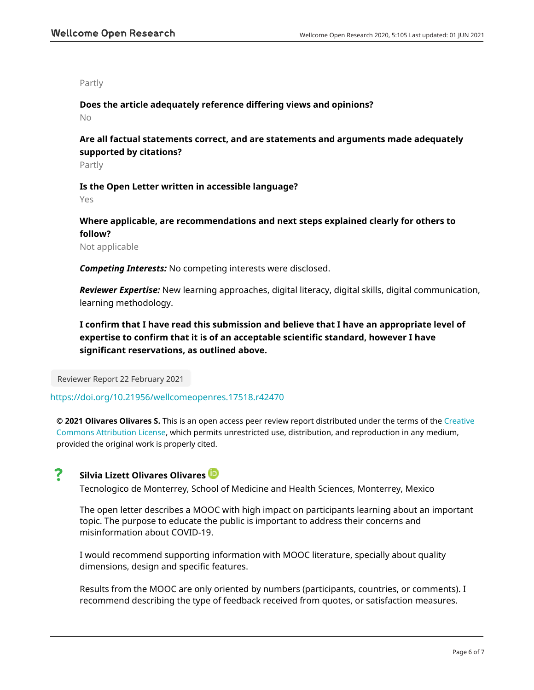Partly

**Does the article adequately reference differing views and opinions?**

No

**Are all factual statements correct, and are statements and arguments made adequately supported by citations?**

Partly

**Is the Open Letter written in accessible language?**

Yes

**Where applicable, are recommendations and next steps explained clearly for others to follow?**

Not applicable

*Competing Interests:* No competing interests were disclosed.

*Reviewer Expertise:* New learning approaches, digital literacy, digital skills, digital communication, learning methodology.

**I confirm that I have read this submission and believe that I have an appropriate level of expertise to confirm that it is of an acceptable scientific standard, however I have significant reservations, as outlined above.**

Reviewer Report 22 February 2021

## <https://doi.org/10.21956/wellcomeopenres.17518.r42470>

**© 2021 Olivares Olivares S.** This is an open access peer review report distributed under the terms of the [Creative](https://creativecommons.org/licenses/by/4.0/) [Commons Attribution License](https://creativecommons.org/licenses/by/4.0/), which permits unrestricted use, distribution, and reproduction in any medium, provided the original work is properly cited.

#### ? **Silvia Lizett Olivares Olivares**

Tecnologico de Monterrey, School of Medicine and Health Sciences, Monterrey, Mexico

The open letter describes a MOOC with high impact on participants learning about an important topic. The purpose to educate the public is important to address their concerns and misinformation about COVID-19.

I would recommend supporting information with MOOC literature, specially about quality dimensions, design and specific features.

Results from the MOOC are only oriented by numbers (participants, countries, or comments). I recommend describing the type of feedback received from quotes, or satisfaction measures.